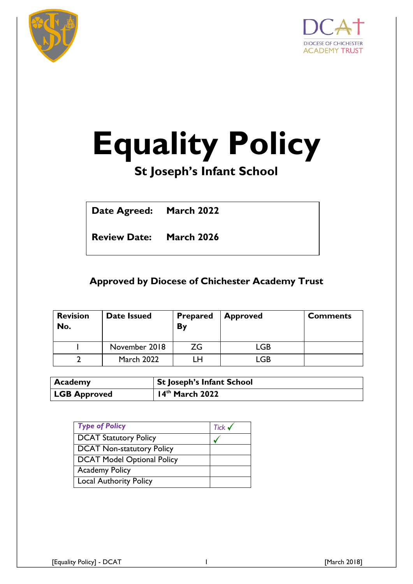



# **Equality Policy**

# **St Joseph's Infant School**

**Date Agreed: March 2022**

**Review Date: March 2026** 

**Approved by Diocese of Chichester Academy Trust** 

| <b>Revision</b><br>No. | <b>Date Issued</b> | <b>Prepared</b><br>By | <b>Approved</b> | <b>Comments</b> |
|------------------------|--------------------|-----------------------|-----------------|-----------------|
|                        | November 2018      | ZG.                   | LGB             |                 |
|                        | <b>March 2022</b>  | Н                     | .GB             |                 |

| Academy             | <b>St Joseph's Infant School</b> |
|---------------------|----------------------------------|
| <b>LGB Approved</b> | $14th$ March 2022                |

| <b>Type of Policy</b>         | Tick $\checkmark$ |
|-------------------------------|-------------------|
| DCAT Statutory Policy         |                   |
| DCAT Non-statutory Policy     |                   |
| DCAT Model Optional Policy    |                   |
| <b>Academy Policy</b>         |                   |
| <b>Local Authority Policy</b> |                   |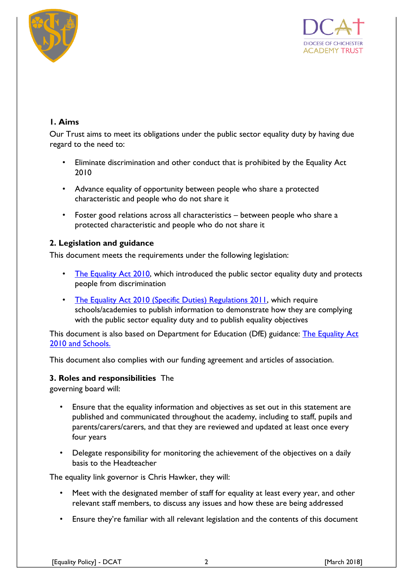



# **1. Aims**

Our Trust aims to meet its obligations under the public sector equality duty by having due regard to the need to:

- Eliminate discrimination and other conduct that is prohibited by the Equality Act 2010
- Advance equality of opportunity between people who share a protected characteristic and people who do not share it
- Foster good relations across all characteristics between people who share a protected characteristic and people who do not share it

# **2. Legislation and guidance**

This document meets the requirements under the following legislation:

- [The Equality Act 2010,](http://www.legislation.gov.uk/ukpga/2010/15/contents) which introduced the public sector equality duty and protects people from discrimination
- [The Equality Act 2010 \(Specific Duties\) Regulations 2011,](http://www.legislation.gov.uk/uksi/2011/2260/contents/made) which require schools/academies to publish information to demonstrate how they are complying with the public sector equality duty and to publish equality objectives

This document is also based on Department for Education (DfE) guidance: [The Equality Act](https://www.gov.uk/government/uploads/system/uploads/attachment_data/file/315587/Equality_Act_Advice_Final.pdf) [2010 and Schools.](https://www.gov.uk/government/uploads/system/uploads/attachment_data/file/315587/Equality_Act_Advice_Final.pdf)

This document also complies with our funding agreement and articles of association.

#### **3. Roles and responsibilities** The

governing board will:

- Ensure that the equality information and objectives as set out in this statement are published and communicated throughout the academy, including to staff, pupils and parents/carers/carers, and that they are reviewed and updated at least once every four years
- Delegate responsibility for monitoring the achievement of the objectives on a daily basis to the Headteacher

The equality link governor is Chris Hawker, they will:

- Meet with the designated member of staff for equality at least every year, and other relevant staff members, to discuss any issues and how these are being addressed
- Ensure they're familiar with all relevant legislation and the contents of this document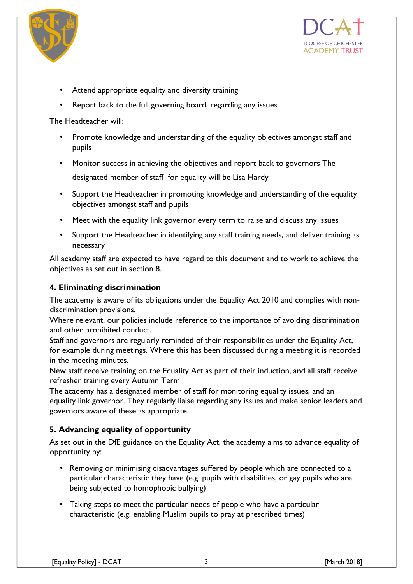



- Attend appropriate equality and diversity training
- Report back to the full governing board, regarding any issues

The Headteacher will:

- Promote knowledge and understanding of the equality objectives amongst staff and pupils
- Monitor success in achieving the objectives and report back to governors The designated member of staff for equality will be Lisa Hardy
- Support the Headteacher in promoting knowledge and understanding of the equality objectives amongst staff and pupils
- Meet with the equality link governor every term to raise and discuss any issues
- Support the Headteacher in identifying any staff training needs, and deliver training as necessary

All academy staff are expected to have regard to this document and to work to achieve the objectives as set out in section 8.

# **4. Eliminating discrimination**

The academy is aware of its obligations under the Equality Act 2010 and complies with nondiscrimination provisions.

Where relevant, our policies include reference to the importance of avoiding discrimination and other prohibited conduct.

Staff and governors are regularly reminded of their responsibilities under the Equality Act, for example during meetings. Where this has been discussed during a meeting it is recorded in the meeting minutes.

New staff receive training on the Equality Act as part of their induction, and all staff receive refresher training every Autumn Term

The academy has a designated member of staff for monitoring equality issues, and an equality link governor. They regularly liaise regarding any issues and make senior leaders and governors aware of these as appropriate.

# **5. Advancing equality of opportunity**

As set out in the DfE guidance on the Equality Act, the academy aims to advance equality of opportunity by:

- Removing or minimising disadvantages suffered by people which are connected to a particular characteristic they have (e.g. pupils with disabilities, or gay pupils who are being subjected to homophobic bullying)
- Taking steps to meet the particular needs of people who have a particular characteristic (e.g. enabling Muslim pupils to pray at prescribed times)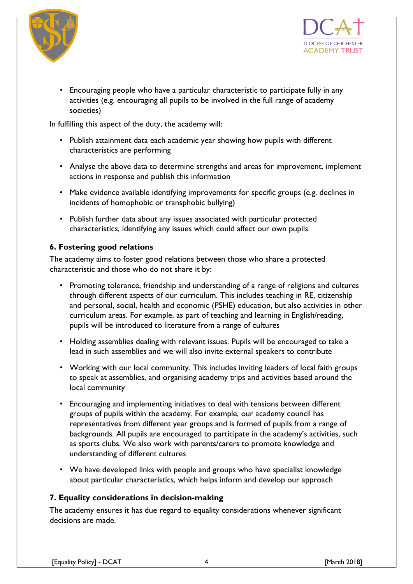



• Encouraging people who have a particular characteristic to participate fully in any activities (e.g. encouraging all pupils to be involved in the full range of academy societies)

In fulfilling this aspect of the duty, the academy will:

- Publish attainment data each academic year showing how pupils with different characteristics are performing
- Analyse the above data to determine strengths and areas for improvement, implement actions in response and publish this information
- Make evidence available identifying improvements for specific groups (e.g. declines in incidents of homophobic or transphobic bullying)
- Publish further data about any issues associated with particular protected characteristics, identifying any issues which could affect our own pupils

#### **6. Fostering good relations**

The academy aims to foster good relations between those who share a protected characteristic and those who do not share it by:

- Promoting tolerance, friendship and understanding of a range of religions and cultures through different aspects of our curriculum. This includes teaching in RE, citizenship and personal, social, health and economic (PSHE) education, but also activities in other curriculum areas. For example, as part of teaching and learning in English/reading, pupils will be introduced to literature from a range of cultures
- Holding assemblies dealing with relevant issues. Pupils will be encouraged to take a lead in such assemblies and we will also invite external speakers to contribute
- Working with our local community. This includes inviting leaders of local faith groups to speak at assemblies, and organising academy trips and activities based around the local community
- Encouraging and implementing initiatives to deal with tensions between different groups of pupils within the academy. For example, our academy council has representatives from different year groups and is formed of pupils from a range of backgrounds. All pupils are encouraged to participate in the academy's activities, such as sports clubs. We also work with parents/carers to promote knowledge and understanding of different cultures
- We have developed links with people and groups who have specialist knowledge about particular characteristics, which helps inform and develop our approach

#### **7. Equality considerations in decision-making**

The academy ensures it has due regard to equality considerations whenever significant decisions are made.